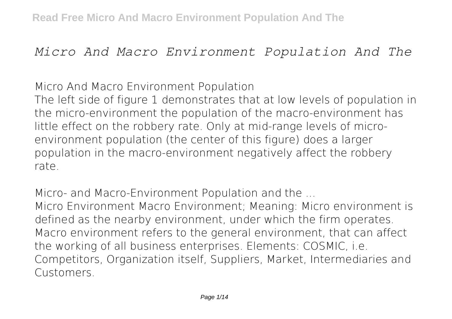## *Micro And Macro Environment Population And The*

**Micro And Macro Environment Population**

The left side of figure 1 demonstrates that at low levels of population in the micro-environment the population of the macro-environment has little effect on the robbery rate. Only at mid-range levels of microenvironment population (the center of this figure) does a larger population in the macro-environment negatively affect the robbery rate.

**Micro- and Macro-Environment Population and the ...**

Micro Environment Macro Environment; Meaning: Micro environment is defined as the nearby environment, under which the firm operates. Macro environment refers to the general environment, that can affect the working of all business enterprises. Elements: COSMIC, i.e. Competitors, Organization itself, Suppliers, Market, Intermediaries and Customers.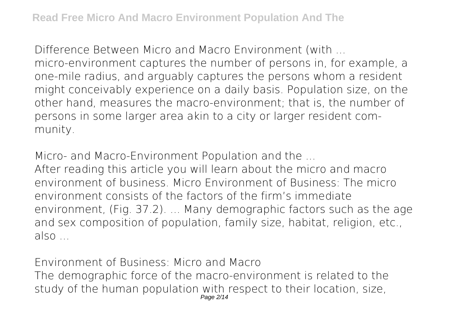**Difference Between Micro and Macro Environment (with ...**

micro-environment captures the number of persons in, for example, a one-mile radius, and arguably captures the persons whom a resident might conceivably experience on a daily basis. Population size, on the other hand, measures the macro-environment; that is, the number of persons in some larger area akin to a city or larger resident community.

**Micro- and Macro-Environment Population and the ...**

After reading this article you will learn about the micro and macro environment of business. Micro Environment of Business: The micro environment consists of the factors of the firm's immediate environment, (Fig. 37.2). ... Many demographic factors such as the age and sex composition of population, family size, habitat, religion, etc., also ...

**Environment of Business: Micro and Macro** The demographic force of the macro-environment is related to the study of the human population with respect to their location, size, Page 2/14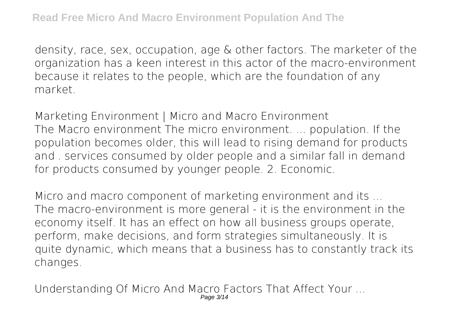density, race, sex, occupation, age & other factors. The marketer of the organization has a keen interest in this actor of the macro-environment because it relates to the people, which are the foundation of any market.

**Marketing Environment | Micro and Macro Environment** The Macro environment The micro environment. ... population. If the population becomes older, this will lead to rising demand for products and . services consumed by older people and a similar fall in demand for products consumed by younger people. 2. Economic.

**Micro and macro component of marketing environment and its ...** The macro-environment is more general - it is the environment in the economy itself. It has an effect on how all business groups operate, perform, make decisions, and form strategies simultaneously. It is quite dynamic, which means that a business has to constantly track its changes.

**Understanding Of Micro And Macro Factors That Affect Your ...** Page 3/14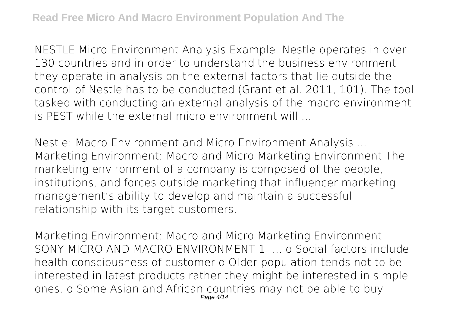NESTLE Micro Environment Analysis Example. Nestle operates in over 130 countries and in order to understand the business environment they operate in analysis on the external factors that lie outside the control of Nestle has to be conducted (Grant et al. 2011, 101). The tool tasked with conducting an external analysis of the macro environment is PEST while the external micro environment will ...

**Nestle: Macro Environment and Micro Environment Analysis ...** Marketing Environment: Macro and Micro Marketing Environment The marketing environment of a company is composed of the people, institutions, and forces outside marketing that influencer marketing management's ability to develop and maintain a successful relationship with its target customers.

**Marketing Environment: Macro and Micro Marketing Environment** SONY MICRO AND MACRO ENVIRONMENT 1. ... o Social factors include health consciousness of customer o Older population tends not to be interested in latest products rather they might be interested in simple ones. o Some Asian and African countries may not be able to buy Page 4/14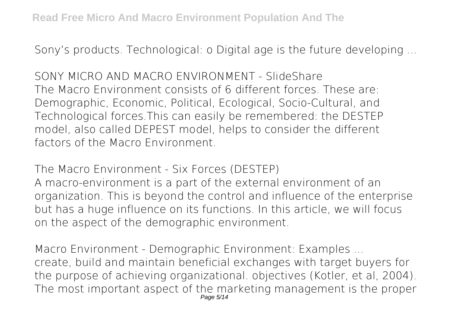Sony's products. Technological: o Digital age is the future developing ...

**SONY MICRO AND MACRO ENVIRONMENT - SlideShare** The Macro Environment consists of 6 different forces. These are: Demographic, Economic, Political, Ecological, Socio-Cultural, and Technological forces.This can easily be remembered: the DESTEP model, also called DEPEST model, helps to consider the different factors of the Macro Environment.

**The Macro Environment - Six Forces (DESTEP)** A macro-environment is a part of the external environment of an organization. This is beyond the control and influence of the enterprise but has a huge influence on its functions. In this article, we will focus on the aspect of the demographic environment.

**Macro Environment - Demographic Environment: Examples ...** create, build and maintain beneficial exchanges with target buyers for the purpose of achieving organizational. objectives (Kotler, et al, 2004). The most important aspect of the marketing management is the proper Page 5/14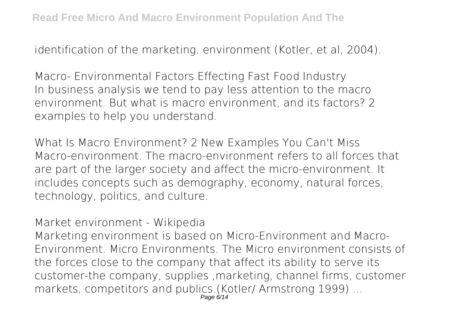identification of the marketing. environment (Kotler, et al, 2004).

**Macro- Environmental Factors Effecting Fast Food Industry** In business analysis we tend to pay less attention to the macro environment. But what is macro environment, and its factors? 2 examples to help you understand.

**What Is Macro Environment? 2 New Examples You Can't Miss** Macro-environment. The macro-environment refers to all forces that are part of the larger society and affect the micro-environment. It includes concepts such as demography, economy, natural forces, technology, politics, and culture.

**Market environment - Wikipedia**

Marketing environment is based on Micro-Environment and Macro-Environment. Micro Environments. The Micro environment consists of the forces close to the company that affect its ability to serve its customer-the company, supplies ,marketing, channel firms, customer markets, competitors and publics.(Kotler/ Armstrong 1999) ...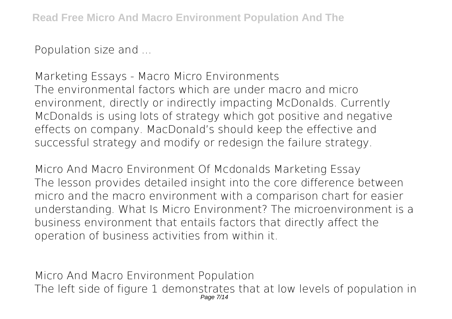Population size and ...

**Marketing Essays - Macro Micro Environments** The environmental factors which are under macro and micro environment, directly or indirectly impacting McDonalds. Currently McDonalds is using lots of strategy which got positive and negative effects on company. MacDonald's should keep the effective and successful strategy and modify or redesign the failure strategy.

**Micro And Macro Environment Of Mcdonalds Marketing Essay** The lesson provides detailed insight into the core difference between micro and the macro environment with a comparison chart for easier understanding. What Is Micro Environment? The microenvironment is a business environment that entails factors that directly affect the operation of business activities from within it.

**Micro And Macro Environment Population** The left side of figure 1 demonstrates that at low levels of population in Page 7/14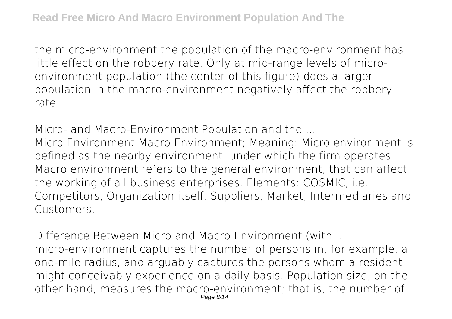the micro-environment the population of the macro-environment has little effect on the robbery rate. Only at mid-range levels of microenvironment population (the center of this figure) does a larger population in the macro-environment negatively affect the robbery rate.

**Micro- and Macro-Environment Population and the ...** Micro Environment Macro Environment; Meaning: Micro environment is defined as the nearby environment, under which the firm operates. Macro environment refers to the general environment, that can affect the working of all business enterprises. Elements: COSMIC, i.e. Competitors, Organization itself, Suppliers, Market, Intermediaries and Customers.

**Difference Between Micro and Macro Environment (with ...** micro-environment captures the number of persons in, for example, a one-mile radius, and arguably captures the persons whom a resident might conceivably experience on a daily basis. Population size, on the other hand, measures the macro-environment; that is, the number of Page 8/14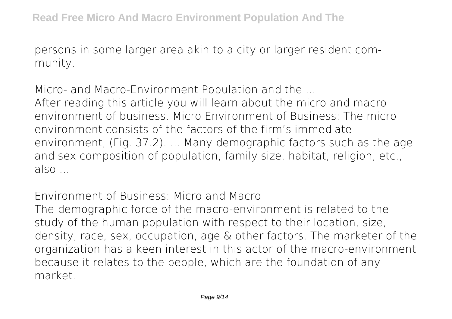persons in some larger area akin to a city or larger resident community.

**Micro- and Macro-Environment Population and the ...** After reading this article you will learn about the micro and macro environment of business. Micro Environment of Business: The micro environment consists of the factors of the firm's immediate environment, (Fig. 37.2). ... Many demographic factors such as the age and sex composition of population, family size, habitat, religion, etc., also ...

**Environment of Business: Micro and Macro**

The demographic force of the macro-environment is related to the study of the human population with respect to their location, size, density, race, sex, occupation, age & other factors. The marketer of the organization has a keen interest in this actor of the macro-environment because it relates to the people, which are the foundation of any market.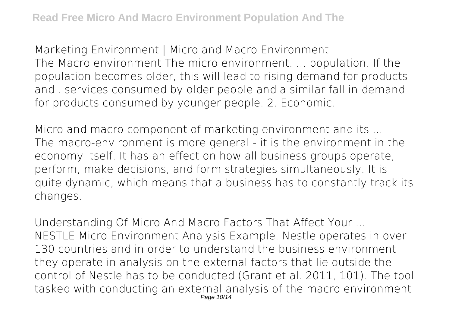**Marketing Environment | Micro and Macro Environment** The Macro environment The micro environment. ... population. If the population becomes older, this will lead to rising demand for products and . services consumed by older people and a similar fall in demand for products consumed by younger people. 2. Economic.

**Micro and macro component of marketing environment and its ...** The macro-environment is more general - it is the environment in the economy itself. It has an effect on how all business groups operate, perform, make decisions, and form strategies simultaneously. It is quite dynamic, which means that a business has to constantly track its changes.

**Understanding Of Micro And Macro Factors That Affect Your ...** NESTLE Micro Environment Analysis Example. Nestle operates in over 130 countries and in order to understand the business environment they operate in analysis on the external factors that lie outside the control of Nestle has to be conducted (Grant et al. 2011, 101). The tool tasked with conducting an external analysis of the macro environment Page 10/14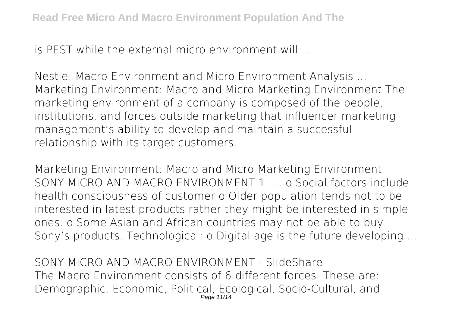is PEST while the external micro environment will ...

**Nestle: Macro Environment and Micro Environment Analysis ...** Marketing Environment: Macro and Micro Marketing Environment The marketing environment of a company is composed of the people, institutions, and forces outside marketing that influencer marketing management's ability to develop and maintain a successful relationship with its target customers.

**Marketing Environment: Macro and Micro Marketing Environment** SONY MICRO AND MACRO ENVIRONMENT 1. ... o Social factors include health consciousness of customer o Older population tends not to be interested in latest products rather they might be interested in simple ones. o Some Asian and African countries may not be able to buy Sony's products. Technological: o Digital age is the future developing ...

**SONY MICRO AND MACRO ENVIRONMENT - SlideShare** The Macro Environment consists of 6 different forces. These are: Demographic, Economic, Political, Ecological, Socio-Cultural, and Page 11/14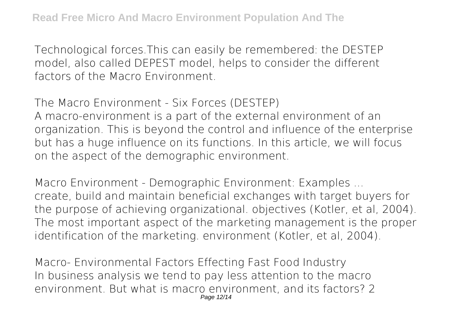Technological forces.This can easily be remembered: the DESTEP model, also called DEPEST model, helps to consider the different factors of the Macro Environment.

## **The Macro Environment - Six Forces (DESTEP)**

A macro-environment is a part of the external environment of an organization. This is beyond the control and influence of the enterprise but has a huge influence on its functions. In this article, we will focus on the aspect of the demographic environment.

**Macro Environment - Demographic Environment: Examples ...** create, build and maintain beneficial exchanges with target buyers for the purpose of achieving organizational. objectives (Kotler, et al, 2004). The most important aspect of the marketing management is the proper identification of the marketing. environment (Kotler, et al, 2004).

**Macro- Environmental Factors Effecting Fast Food Industry** In business analysis we tend to pay less attention to the macro environment. But what is macro environment, and its factors? 2 Page 12/14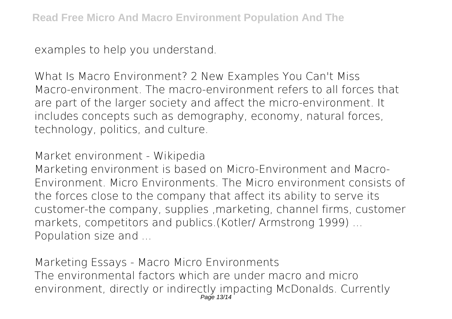examples to help you understand.

**What Is Macro Environment? 2 New Examples You Can't Miss** Macro-environment. The macro-environment refers to all forces that are part of the larger society and affect the micro-environment. It includes concepts such as demography, economy, natural forces, technology, politics, and culture.

**Market environment - Wikipedia**

Marketing environment is based on Micro-Environment and Macro-Environment. Micro Environments. The Micro environment consists of the forces close to the company that affect its ability to serve its customer-the company, supplies ,marketing, channel firms, customer markets, competitors and publics.(Kotler/ Armstrong 1999) ... Population size and ...

**Marketing Essays - Macro Micro Environments** The environmental factors which are under macro and micro environment, directly or indirectly impacting McDonalds. Currently Page 13/14